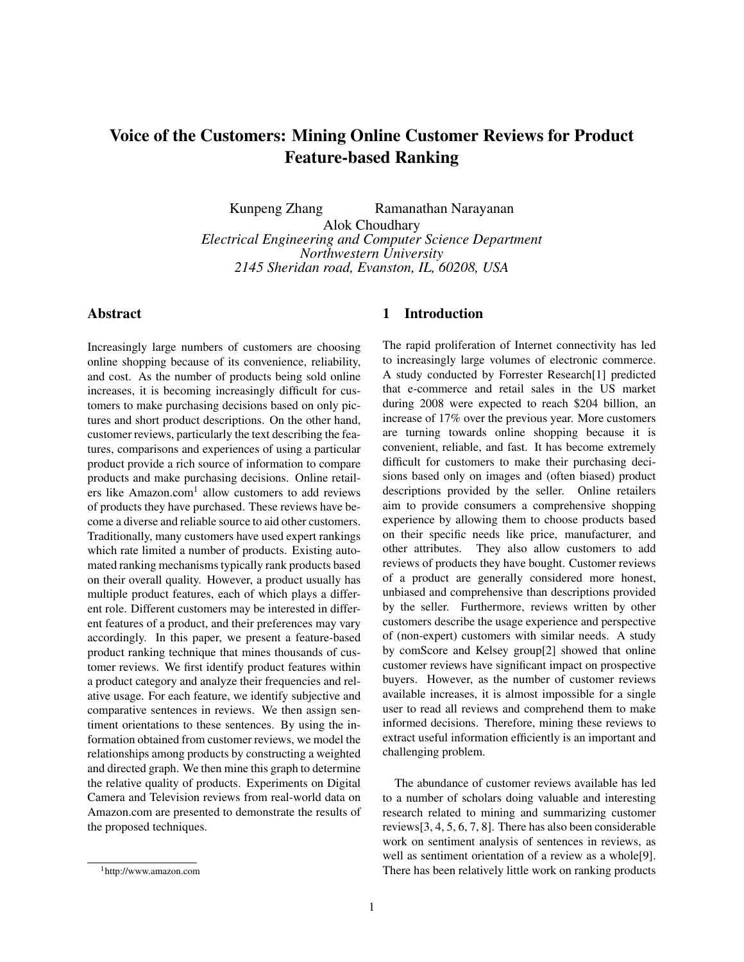# Voice of the Customers: Mining Online Customer Reviews for Product Feature-based Ranking

Kunpeng Zhang Ramanathan Narayanan Alok Choudhary *Electrical Engineering and Computer Science Department Northwestern University 2145 Sheridan road, Evanston, IL, 60208, USA*

# Abstract

Increasingly large numbers of customers are choosing online shopping because of its convenience, reliability, and cost. As the number of products being sold online increases, it is becoming increasingly difficult for customers to make purchasing decisions based on only pictures and short product descriptions. On the other hand, customer reviews, particularly the text describing the features, comparisons and experiences of using a particular product provide a rich source of information to compare products and make purchasing decisions. Online retailers like Amazon.com<sup>1</sup> allow customers to add reviews of products they have purchased. These reviews have become a diverse and reliable source to aid other customers. Traditionally, many customers have used expert rankings which rate limited a number of products. Existing automated ranking mechanisms typically rank products based on their overall quality. However, a product usually has multiple product features, each of which plays a different role. Different customers may be interested in different features of a product, and their preferences may vary accordingly. In this paper, we present a feature-based product ranking technique that mines thousands of customer reviews. We first identify product features within a product category and analyze their frequencies and relative usage. For each feature, we identify subjective and comparative sentences in reviews. We then assign sentiment orientations to these sentences. By using the information obtained from customer reviews, we model the relationships among products by constructing a weighted and directed graph. We then mine this graph to determine the relative quality of products. Experiments on Digital Camera and Television reviews from real-world data on Amazon.com are presented to demonstrate the results of the proposed techniques.

### 1 Introduction

The rapid proliferation of Internet connectivity has led to increasingly large volumes of electronic commerce. A study conducted by Forrester Research[1] predicted that e-commerce and retail sales in the US market during 2008 were expected to reach \$204 billion, an increase of 17% over the previous year. More customers are turning towards online shopping because it is convenient, reliable, and fast. It has become extremely difficult for customers to make their purchasing decisions based only on images and (often biased) product descriptions provided by the seller. Online retailers aim to provide consumers a comprehensive shopping experience by allowing them to choose products based on their specific needs like price, manufacturer, and other attributes. They also allow customers to add reviews of products they have bought. Customer reviews of a product are generally considered more honest, unbiased and comprehensive than descriptions provided by the seller. Furthermore, reviews written by other customers describe the usage experience and perspective of (non-expert) customers with similar needs. A study by comScore and Kelsey group[2] showed that online customer reviews have significant impact on prospective buyers. However, as the number of customer reviews available increases, it is almost impossible for a single user to read all reviews and comprehend them to make informed decisions. Therefore, mining these reviews to extract useful information efficiently is an important and challenging problem.

The abundance of customer reviews available has led to a number of scholars doing valuable and interesting research related to mining and summarizing customer reviews[3, 4, 5, 6, 7, 8]. There has also been considerable work on sentiment analysis of sentences in reviews, as well as sentiment orientation of a review as a whole[9]. There has been relatively little work on ranking products

<sup>1</sup>http://www.amazon.com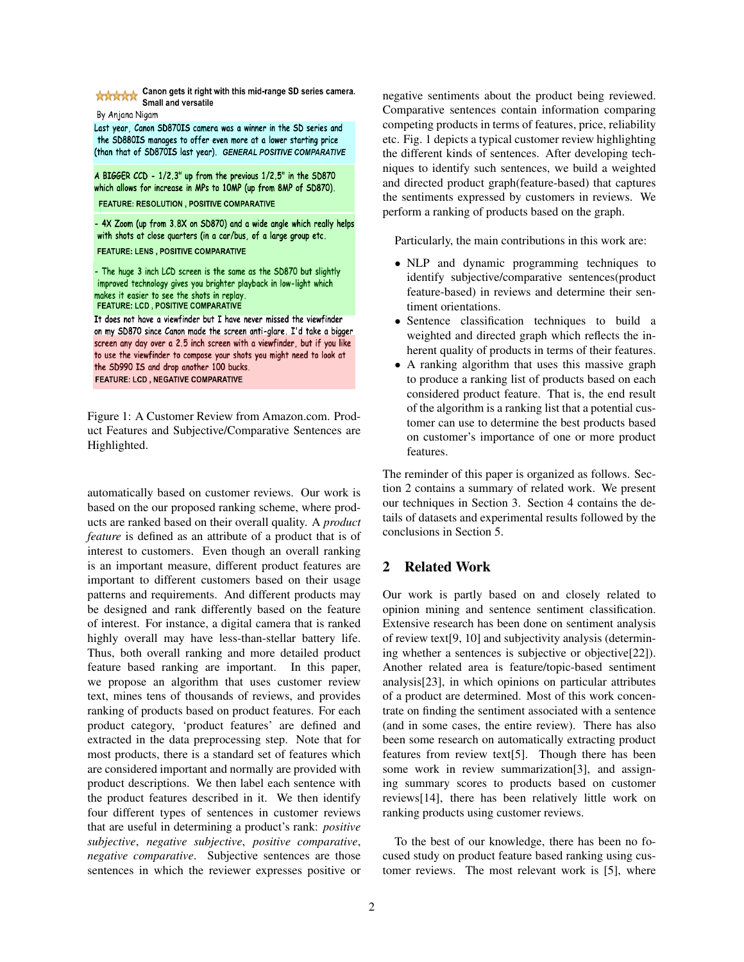

Figure 1: A Customer Review from Amazon.com. Product Features and Subjective/Comparative Sentences are Highlighted.

automatically based on customer reviews. Our work is based on the our proposed ranking scheme, where products are ranked based on their overall quality. A *product feature* is defined as an attribute of a product that is of interest to customers. Even though an overall ranking is an important measure, different product features are important to different customers based on their usage patterns and requirements. And different products may be designed and rank differently based on the feature of interest. For instance, a digital camera that is ranked highly overall may have less-than-stellar battery life. Thus, both overall ranking and more detailed product feature based ranking are important. In this paper, we propose an algorithm that uses customer review text, mines tens of thousands of reviews, and provides ranking of products based on product features. For each product category, 'product features' are defined and extracted in the data preprocessing step. Note that for most products, there is a standard set of features which are considered important and normally are provided with product descriptions. We then label each sentence with the product features described in it. We then identify four different types of sentences in customer reviews that are useful in determining a product's rank: *positive subjective*, *negative subjective*, *positive comparative*, *negative comparative*. Subjective sentences are those sentences in which the reviewer expresses positive or

negative sentiments about the product being reviewed. Comparative sentences contain information comparing competing products in terms of features, price, reliability etc. Fig. 1 depicts a typical customer review highlighting the different kinds of sentences. After developing techniques to identify such sentences, we build a weighted and directed product graph(feature-based) that captures the sentiments expressed by customers in reviews. We perform a ranking of products based on the graph.

Particularly, the main contributions in this work are:

- NLP and dynamic programming techniques to identify subjective/comparative sentences(product feature-based) in reviews and determine their sentiment orientations.
- Sentence classification techniques to build a weighted and directed graph which reflects the inherent quality of products in terms of their features.
- A ranking algorithm that uses this massive graph to produce a ranking list of products based on each considered product feature. That is, the end result of the algorithm is a ranking list that a potential customer can use to determine the best products based on customer's importance of one or more product features.

The reminder of this paper is organized as follows. Section 2 contains a summary of related work. We present our techniques in Section 3. Section 4 contains the details of datasets and experimental results followed by the conclusions in Section 5.

## 2 Related Work

Our work is partly based on and closely related to opinion mining and sentence sentiment classification. Extensive research has been done on sentiment analysis of review text[9, 10] and subjectivity analysis (determining whether a sentences is subjective or objective[22]). Another related area is feature/topic-based sentiment analysis[23], in which opinions on particular attributes of a product are determined. Most of this work concentrate on finding the sentiment associated with a sentence (and in some cases, the entire review). There has also been some research on automatically extracting product features from review text[5]. Though there has been some work in review summarization[3], and assigning summary scores to products based on customer reviews[14], there has been relatively little work on ranking products using customer reviews.

To the best of our knowledge, there has been no focused study on product feature based ranking using customer reviews. The most relevant work is [5], where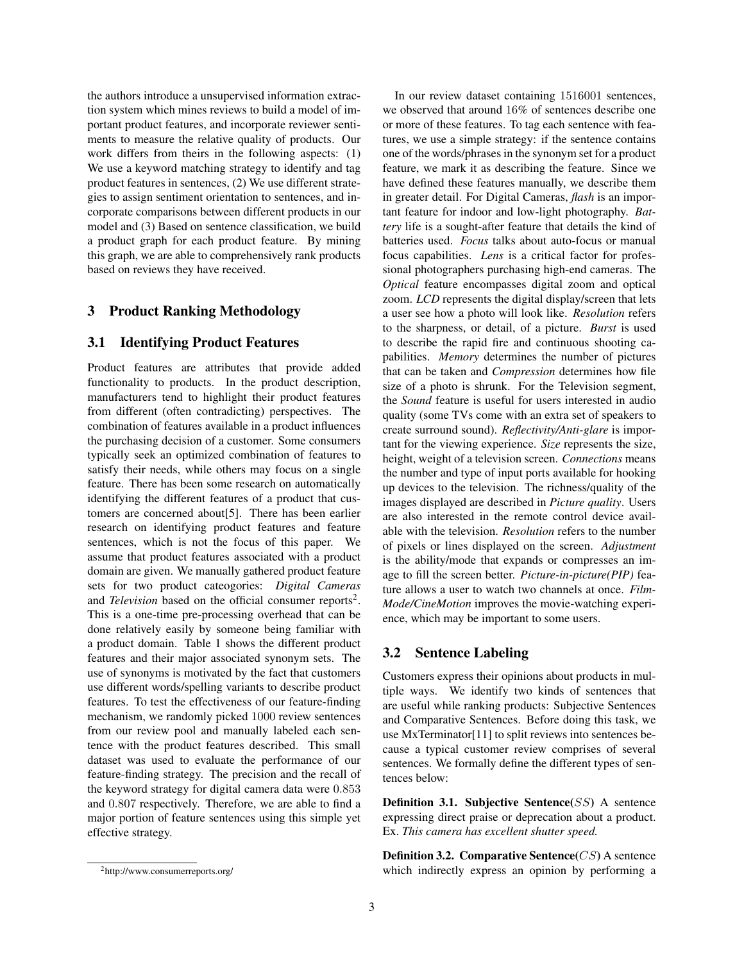the authors introduce a unsupervised information extraction system which mines reviews to build a model of important product features, and incorporate reviewer sentiments to measure the relative quality of products. Our work differs from theirs in the following aspects: (1) We use a keyword matching strategy to identify and tag product features in sentences, (2) We use different strategies to assign sentiment orientation to sentences, and incorporate comparisons between different products in our model and (3) Based on sentence classification, we build a product graph for each product feature. By mining this graph, we are able to comprehensively rank products based on reviews they have received.

### 3 Product Ranking Methodology

### 3.1 Identifying Product Features

Product features are attributes that provide added functionality to products. In the product description, manufacturers tend to highlight their product features from different (often contradicting) perspectives. The combination of features available in a product influences the purchasing decision of a customer. Some consumers typically seek an optimized combination of features to satisfy their needs, while others may focus on a single feature. There has been some research on automatically identifying the different features of a product that customers are concerned about[5]. There has been earlier research on identifying product features and feature sentences, which is not the focus of this paper. We assume that product features associated with a product domain are given. We manually gathered product feature sets for two product cateogories: *Digital Cameras* and *Television* based on the official consumer reports<sup>2</sup>. This is a one-time pre-processing overhead that can be done relatively easily by someone being familiar with a product domain. Table 1 shows the different product features and their major associated synonym sets. The use of synonyms is motivated by the fact that customers use different words/spelling variants to describe product features. To test the effectiveness of our feature-finding mechanism, we randomly picked 1000 review sentences from our review pool and manually labeled each sentence with the product features described. This small dataset was used to evaluate the performance of our feature-finding strategy. The precision and the recall of the keyword strategy for digital camera data were 0.853 and 0.807 respectively. Therefore, we are able to find a major portion of feature sentences using this simple yet effective strategy.

In our review dataset containing 1516001 sentences, we observed that around 16% of sentences describe one or more of these features. To tag each sentence with features, we use a simple strategy: if the sentence contains one of the words/phrases in the synonym set for a product feature, we mark it as describing the feature. Since we have defined these features manually, we describe them in greater detail. For Digital Cameras, *flash* is an important feature for indoor and low-light photography. *Battery* life is a sought-after feature that details the kind of batteries used. *Focus* talks about auto-focus or manual focus capabilities. *Lens* is a critical factor for professional photographers purchasing high-end cameras. The *Optical* feature encompasses digital zoom and optical zoom. *LCD* represents the digital display/screen that lets a user see how a photo will look like. *Resolution* refers to the sharpness, or detail, of a picture. *Burst* is used to describe the rapid fire and continuous shooting capabilities. *Memory* determines the number of pictures that can be taken and *Compression* determines how file size of a photo is shrunk. For the Television segment, the *Sound* feature is useful for users interested in audio quality (some TVs come with an extra set of speakers to create surround sound). *Reflectivity/Anti-glare* is important for the viewing experience. *Size* represents the size, height, weight of a television screen. *Connections* means the number and type of input ports available for hooking up devices to the television. The richness/quality of the images displayed are described in *Picture quality*. Users are also interested in the remote control device available with the television. *Resolution* refers to the number of pixels or lines displayed on the screen. *Adjustment* is the ability/mode that expands or compresses an image to fill the screen better. *Picture-in-picture(PIP)* feature allows a user to watch two channels at once. *Film-Mode/CineMotion* improves the movie-watching experience, which may be important to some users.

### 3.2 Sentence Labeling

Customers express their opinions about products in multiple ways. We identify two kinds of sentences that are useful while ranking products: Subjective Sentences and Comparative Sentences. Before doing this task, we use MxTerminator[11] to split reviews into sentences because a typical customer review comprises of several sentences. We formally define the different types of sentences below:

Definition 3.1. Subjective Sentence( $SS$ ) A sentence expressing direct praise or deprecation about a product. Ex. *This camera has excellent shutter speed.*

**Definition 3.2. Comparative Sentence** $(CS)$  A sentence which indirectly express an opinion by performing a

<sup>2</sup>http://www.consumerreports.org/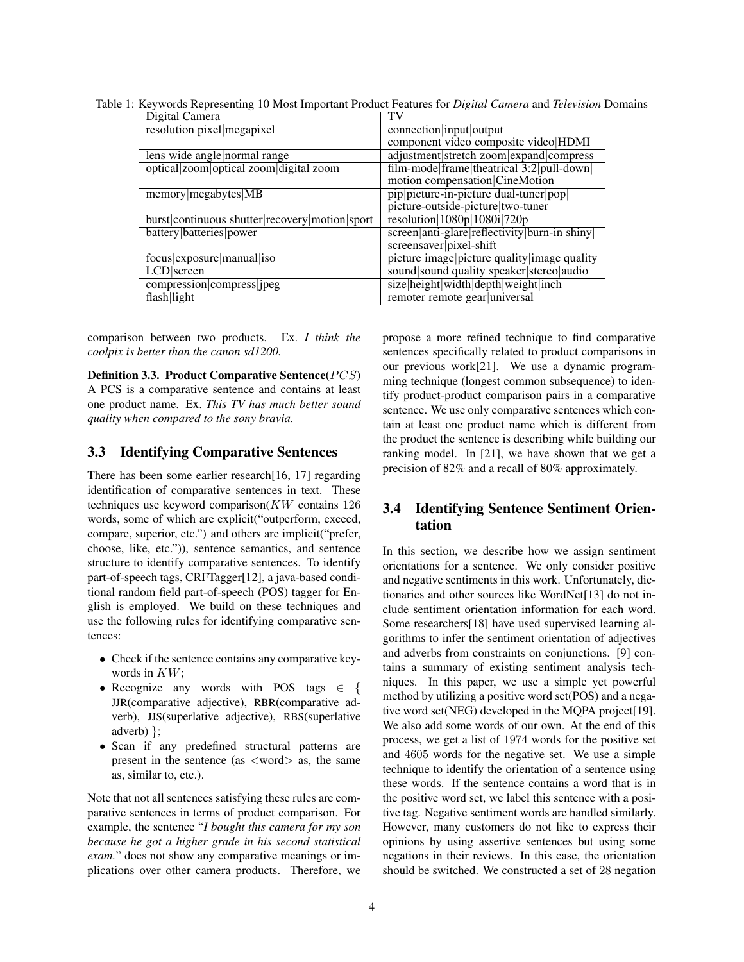Table 1: Keywords Representing 10 Most Important Product Features for *Digital Camera* and *Television* Domains

| Digital Camera                                 |                                              |
|------------------------------------------------|----------------------------------------------|
| resolution pixel megapixel                     | connection input output                      |
|                                                | component video composite video HDMI         |
| lens wide angle normal range                   | adjustment stretch zoom expand compress      |
| optical zoom optical zoom digital zoom         | film-mode frame theatrical 3:2 pull-down     |
|                                                | motion compensation CineMotion               |
| $memory$ megabytes $MB$                        | pip picture-in-picture dual-tuner pop        |
|                                                | picture-outside-picture two-tuner            |
| burst continuous shutter recovery motion sport | resolution $ 1080p 1080i 720p$               |
| battery batteries power                        | screen anti-glare reflectivity burn-in shiny |
|                                                | screensaver pixel-shift                      |
| focus exposure manual iso                      | picture image picture quality image quality  |
| LCD screen                                     | sound sound quality speaker stereo audio     |
| compression compress jpeg                      | size height width depth weight inch          |
| flash light                                    | remoter remote gear universal                |

comparison between two products. Ex. *I think the coolpix is better than the canon sd1200.*

Definition 3.3. Product Comparative Sentence( $PCS$ ) A PCS is a comparative sentence and contains at least one product name. Ex. *This TV has much better sound quality when compared to the sony bravia.*

## 3.3 Identifying Comparative Sentences

There has been some earlier research[16, 17] regarding identification of comparative sentences in text. These techniques use keyword comparison $(KW)$  contains 126 words, some of which are explicit("outperform, exceed, compare, superior, etc.") and others are implicit("prefer, choose, like, etc.")), sentence semantics, and sentence structure to identify comparative sentences. To identify part-of-speech tags, CRFTagger[12], a java-based conditional random field part-of-speech (POS) tagger for English is employed. We build on these techniques and use the following rules for identifying comparative sentences:

- Check if the sentence contains any comparative keywords in KW;
- Recognize any words with POS tags  $\in$  { JJR(comparative adjective), RBR(comparative adverb), JJS(superlative adjective), RBS(superlative adverb) };
- Scan if any predefined structural patterns are present in the sentence (as  $\langle$  word $\rangle$  as, the same as, similar to, etc.).

Note that not all sentences satisfying these rules are comparative sentences in terms of product comparison. For example, the sentence "*I bought this camera for my son because he got a higher grade in his second statistical exam.*" does not show any comparative meanings or implications over other camera products. Therefore, we propose a more refined technique to find comparative sentences specifically related to product comparisons in our previous work[21]. We use a dynamic programming technique (longest common subsequence) to identify product-product comparison pairs in a comparative sentence. We use only comparative sentences which contain at least one product name which is different from the product the sentence is describing while building our ranking model. In [21], we have shown that we get a precision of 82% and a recall of 80% approximately.

# 3.4 Identifying Sentence Sentiment Orientation

In this section, we describe how we assign sentiment orientations for a sentence. We only consider positive and negative sentiments in this work. Unfortunately, dictionaries and other sources like WordNet[13] do not include sentiment orientation information for each word. Some researchers[18] have used supervised learning algorithms to infer the sentiment orientation of adjectives and adverbs from constraints on conjunctions. [9] contains a summary of existing sentiment analysis techniques. In this paper, we use a simple yet powerful method by utilizing a positive word set(POS) and a negative word set(NEG) developed in the MQPA project[19]. We also add some words of our own. At the end of this process, we get a list of 1974 words for the positive set and 4605 words for the negative set. We use a simple technique to identify the orientation of a sentence using these words. If the sentence contains a word that is in the positive word set, we label this sentence with a positive tag. Negative sentiment words are handled similarly. However, many customers do not like to express their opinions by using assertive sentences but using some negations in their reviews. In this case, the orientation should be switched. We constructed a set of 28 negation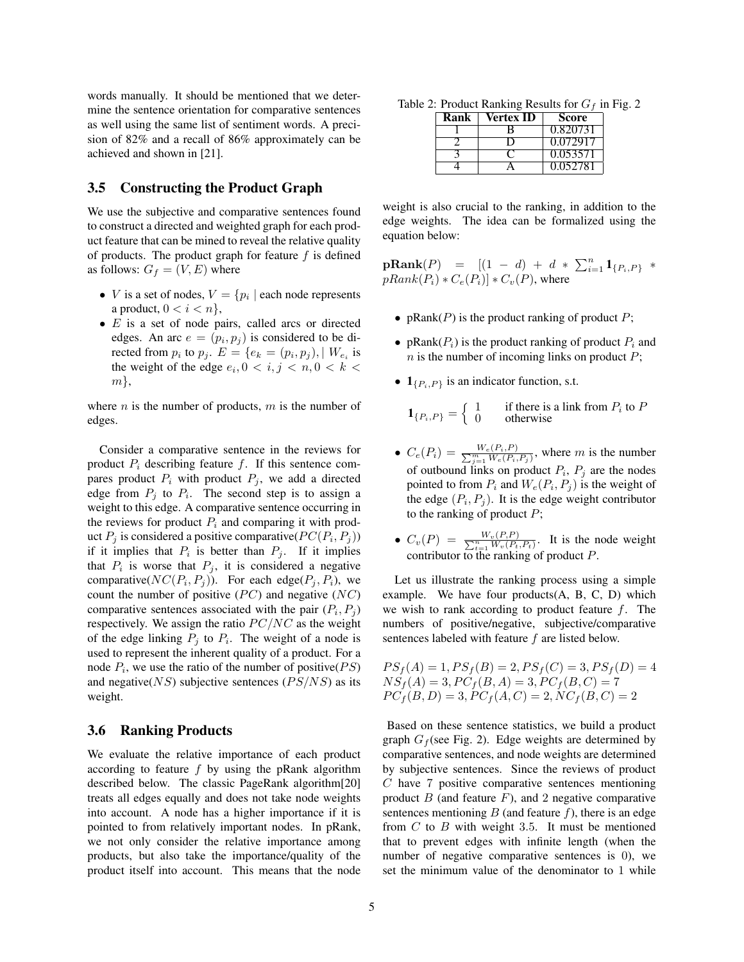words manually. It should be mentioned that we determine the sentence orientation for comparative sentences as well using the same list of sentiment words. A precision of 82% and a recall of 86% approximately can be achieved and shown in [21].

# 3.5 Constructing the Product Graph

We use the subjective and comparative sentences found to construct a directed and weighted graph for each product feature that can be mined to reveal the relative quality of products. The product graph for feature  $f$  is defined as follows:  $G_f = (V, E)$  where

- *V* is a set of nodes,  $V = \{p_i \mid$  each node represents a product,  $0 < i < n$ ,
- $\bullet$  E is a set of node pairs, called arcs or directed edges. An arc  $e = (p_i, p_j)$  is considered to be directed from  $p_i$  to  $p_j$ .  $E = \{e_k = (p_i, p_j), \mid W_{e_i} \text{ is } \}$ the weight of the edge  $e_i, 0 \lt i, j \lt n, 0 \lt k \lt \ell$  $m\},\$

where  $n$  is the number of products,  $m$  is the number of edges.

Consider a comparative sentence in the reviews for product  $P_i$  describing feature f. If this sentence compares product  $P_i$  with product  $P_j$ , we add a directed edge from  $P_j$  to  $P_i$ . The second step is to assign a weight to this edge. A comparative sentence occurring in the reviews for product  $P_i$  and comparing it with product  $P_j$  is considered a positive comparative( $PC(P_i, P_j)$ ) if it implies that  $P_i$  is better than  $P_j$ . If it implies that  $P_i$  is worse that  $P_j$ , it is considered a negative comparative( $NC(P_i, P_j)$ ). For each edge( $P_j, P_i$ ), we count the number of positive  $(PC)$  and negative  $(NC)$ comparative sentences associated with the pair  $(P_i, P_j)$ respectively. We assign the ratio  $PC/NC$  as the weight of the edge linking  $P_j$  to  $P_i$ . The weight of a node is used to represent the inherent quality of a product. For a node  $P_i$ , we use the ratio of the number of positive( $PS$ ) and negative( $NS$ ) subjective sentences ( $PS/NS$ ) as its weight.

### 3.6 Ranking Products

We evaluate the relative importance of each product according to feature  $f$  by using the pRank algorithm described below. The classic PageRank algorithm[20] treats all edges equally and does not take node weights into account. A node has a higher importance if it is pointed to from relatively important nodes. In pRank, we not only consider the relative importance among products, but also take the importance/quality of the product itself into account. This means that the node

Table 2: Product Ranking Results for  $G_f$  in Fig. 2

| Rank | Vertex ID | Score    |
|------|-----------|----------|
|      |           | 0.820731 |
|      |           | 0.072917 |
|      |           | 0.053571 |
|      |           | 0.052781 |

weight is also crucial to the ranking, in addition to the edge weights. The idea can be formalized using the equation below:

 $\textbf{pRank}(P) = [(1 - d) + d * \sum_{i=1}^{n} 1_{\{P_i, P\}} *$  $pRank(P_i) * C_e(P_i)] * C_v(P)$ , where

- pRank $(P)$  is the product ranking of product P;
- pRank $(P_i)$  is the product ranking of product  $P_i$  and  $n$  is the number of incoming links on product  $P$ ;
- $\mathbf{1}_{\{P_i, P\}}$  is an indicator function, s.t.

$$
\mathbf{1}_{\{P_i, P\}} = \begin{cases} 1 & \text{if there is a link from } P_i \text{ to } P \\ 0 & \text{otherwise} \end{cases}
$$

- $C_e(P_i) = \frac{W_e(P_i, P)}{\sum_{j=1}^m W_e(P_i, P_j)}$ , where m is the number of outbound links on product  $P_i$ ,  $P_j$  are the nodes pointed to from  $P_i$  and  $W_e(P_i, P_j)$  is the weight of the edge  $(P_i, P_j)$ . It is the edge weight contributor to the ranking of product  $P$ ;
- $C_v(P) = \frac{W_v(P,P)}{\sum_{t=1}^n W_v(P_t,P_t)}$ . It is the node weight contributor to the ranking of product  $P$ .

Let us illustrate the ranking process using a simple example. We have four products(A, B, C, D) which we wish to rank according to product feature  $f$ . The numbers of positive/negative, subjective/comparative sentences labeled with feature f are listed below.

$$
PS_f(A) = 1, PS_f(B) = 2, PS_f(C) = 3, PS_f(D) = 4
$$
  
\n
$$
NS_f(A) = 3, PC_f(B, A) = 3, PC_f(B, C) = 7
$$
  
\n
$$
PC_f(B, D) = 3, PC_f(A, C) = 2, NC_f(B, C) = 2
$$

Based on these sentence statistics, we build a product graph  $G_f$  (see Fig. 2). Edge weights are determined by comparative sentences, and node weights are determined by subjective sentences. Since the reviews of product C have 7 positive comparative sentences mentioning product  $B$  (and feature  $F$ ), and 2 negative comparative sentences mentioning  $B$  (and feature  $f$ ), there is an edge from  $C$  to  $B$  with weight 3.5. It must be mentioned that to prevent edges with infinite length (when the number of negative comparative sentences is 0), we set the minimum value of the denominator to 1 while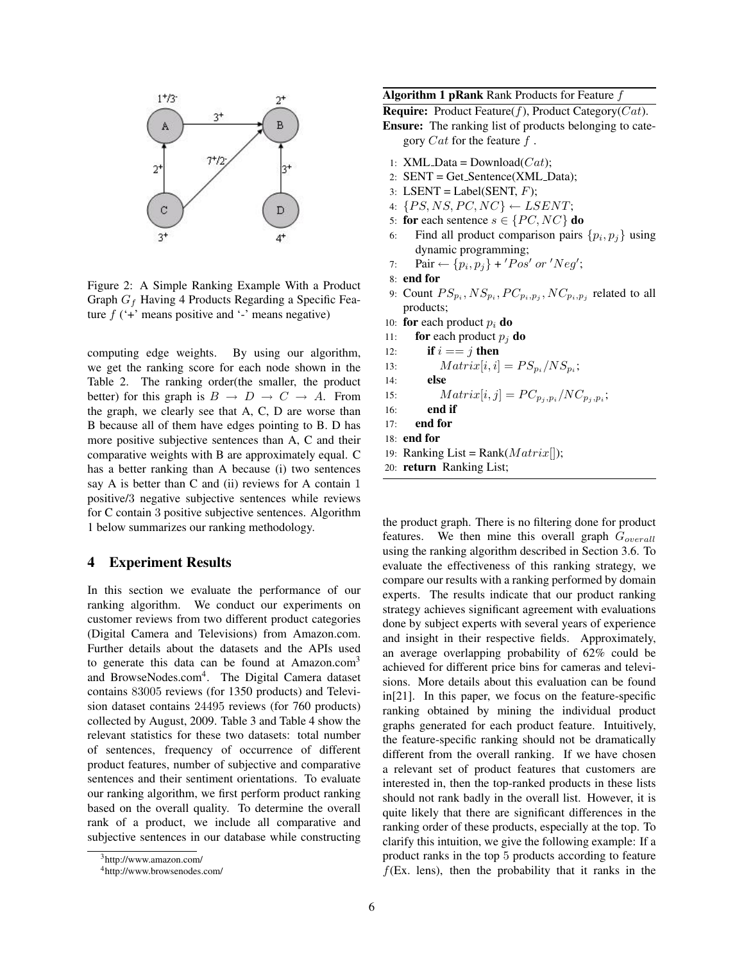

Figure 2: A Simple Ranking Example With a Product Graph  $G_f$  Having 4 Products Regarding a Specific Feature  $f$  ( $\dot{f}$ ) means positive and  $\dot{f}$ ) means negative)

computing edge weights. By using our algorithm, we get the ranking score for each node shown in the Table 2. The ranking order(the smaller, the product better) for this graph is  $B \to D \to C \to A$ . From the graph, we clearly see that A, C, D are worse than B because all of them have edges pointing to B. D has more positive subjective sentences than A, C and their comparative weights with B are approximately equal. C has a better ranking than A because (i) two sentences say A is better than C and (ii) reviews for A contain 1 positive/3 negative subjective sentences while reviews for C contain 3 positive subjective sentences. Algorithm 1 below summarizes our ranking methodology.

### 4 Experiment Results

In this section we evaluate the performance of our ranking algorithm. We conduct our experiments on customer reviews from two different product categories (Digital Camera and Televisions) from Amazon.com. Further details about the datasets and the APIs used to generate this data can be found at  $A$ mazon.com<sup>3</sup> and BrowseNodes.com<sup>4</sup>. The Digital Camera dataset contains 83005 reviews (for 1350 products) and Television dataset contains 24495 reviews (for 760 products) collected by August, 2009. Table 3 and Table 4 show the relevant statistics for these two datasets: total number of sentences, frequency of occurrence of different product features, number of subjective and comparative sentences and their sentiment orientations. To evaluate our ranking algorithm, we first perform product ranking based on the overall quality. To determine the overall rank of a product, we include all comparative and subjective sentences in our database while constructing

### Algorithm 1 pRank Rank Products for Feature f

**Require:** Product Feature( $f$ ), Product Category( $Cat$ ).

Ensure: The ranking list of products belonging to category  $Cat$  for the feature  $f$ .

- 1: XML\_Data =  $Download(Cat)$ ;
- 2:  $SENT = Get\_Sentence(XML\_Data);$
- 3: LSENT = Label(SENT,  $F$ );
- 4:  $\{PS, NS, PC, NC\} \leftarrow LSENT;$
- 5: for each sentence  $s \in \{PC, NC\}$  do
- 6: Find all product comparison pairs  $\{p_i, p_j\}$  using dynamic programming;
- 7: Pair  $\leftarrow \{p_i, p_j\}$  + 'Pos' or 'Neg';
- 8: end for
- 9: Count  $PS_{p_i}, NS_{p_i}, PC_{p_i, p_j}, NC_{p_i, p_j}$  related to all products;
- 10: for each product  $p_i$  do
- 11: **for** each product  $p_i$  **do**
- 12: if  $i == j$  then
- 13:  $Matrix[i, i] = PS_{p_i}/NS_{p_i};$
- 14: else

15: 
$$
Matrix[i, j] = PC_{p_j, p_i}/NC_{p_j, p_i};
$$

- 16: end if
- 17: end for
- 18: end for
- 19: Ranking List = Rank( $Matrix[]$ );
- 20: return Ranking List;

the product graph. There is no filtering done for product features. We then mine this overall graph  $G<sub>overall</sub>$ using the ranking algorithm described in Section 3.6. To evaluate the effectiveness of this ranking strategy, we compare our results with a ranking performed by domain experts. The results indicate that our product ranking strategy achieves significant agreement with evaluations done by subject experts with several years of experience and insight in their respective fields. Approximately, an average overlapping probability of 62% could be achieved for different price bins for cameras and televisions. More details about this evaluation can be found in[21]. In this paper, we focus on the feature-specific ranking obtained by mining the individual product graphs generated for each product feature. Intuitively, the feature-specific ranking should not be dramatically different from the overall ranking. If we have chosen a relevant set of product features that customers are interested in, then the top-ranked products in these lists should not rank badly in the overall list. However, it is quite likely that there are significant differences in the ranking order of these products, especially at the top. To clarify this intuition, we give the following example: If a product ranks in the top 5 products according to feature  $f$ (Ex. lens), then the probability that it ranks in the

<sup>3</sup>http://www.amazon.com/

<sup>4</sup>http://www.browsenodes.com/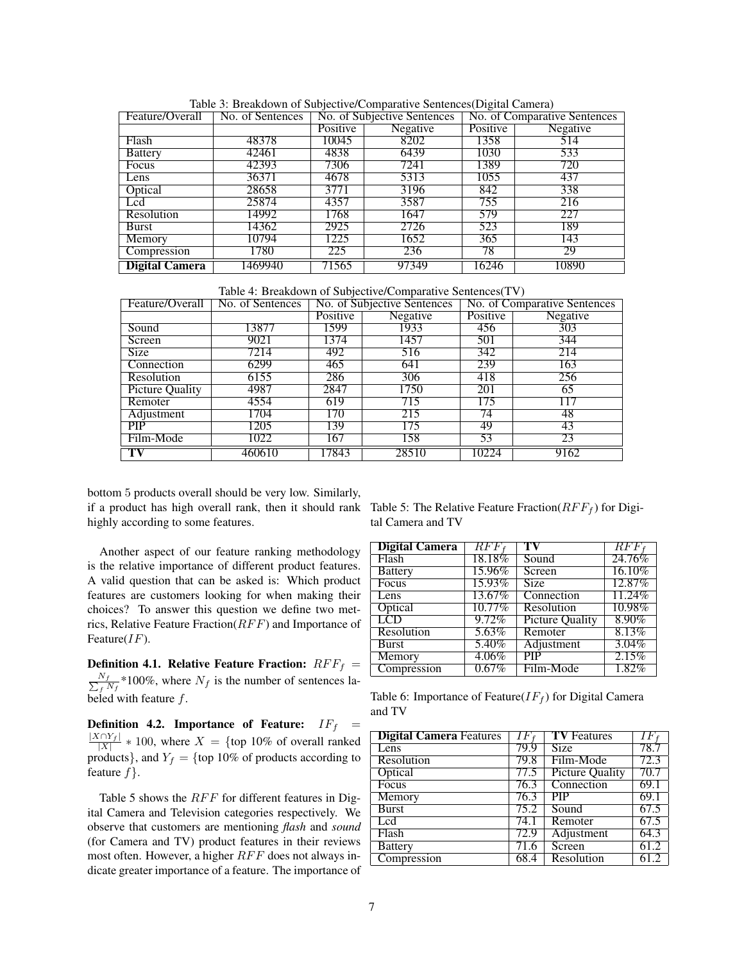| Feature/Overall       | No. of Sentences | No. of Subjective Sentences |       | No. of Comparative Sentences |          |
|-----------------------|------------------|-----------------------------|-------|------------------------------|----------|
|                       |                  | Positive<br>Negative        |       | Positive                     | Negative |
| Flash                 | 48378            | 10045                       | 8202  | 1358                         | 514      |
| <b>Battery</b>        | 42461            | 4838                        | 6439  | 1030                         | 533      |
| Focus                 | 42393            | 7306                        | 7241  | 1389                         | 720      |
| Lens                  | 36371            | 4678                        | 5313  | 1055                         | -437     |
| Optical               | 28658            | 3771                        | 3196  | 842                          | 338      |
| Lcd                   | 25874            | 4357                        | 3587  | 755                          | 216      |
| Resolution            | 14992            | 1768                        | 1647  | 579                          | 227      |
| Burst                 | 14362            | 2925                        | 2726  | 523                          | 189      |
| Memory                | 10794            | 1225                        | 1652  | 365                          | 143      |
| Compression           | 1780             | 225                         | 236   | 78                           | 29       |
| <b>Digital Camera</b> | 1469940          | 71565                       | 97349 | 16246                        | 10890    |

Table 3: Breakdown of Subjective/Comparative Sentences(Digital Camera)

Table 4: Breakdown of Subjective/Comparative Sentences(TV)

| Feature/Overall        | No. of Sentences | No. of Subjective Sentences |       | No. of Comparative Sentences |          |
|------------------------|------------------|-----------------------------|-------|------------------------------|----------|
|                        |                  | Negative<br>Positive        |       | Positive                     | Negative |
| Sound                  | 13877            | 1599                        | 1933  | 456                          | 303      |
| Screen                 | 9021             | 1374                        | 1457  | 501                          | 344      |
| <b>Size</b>            | 7214             | 492                         | 516   | 342                          | 214      |
| Connection             | 6299             | 465                         | 641   | 239                          | 163      |
| Resolution             | 6155             | 286                         | 306   | 418                          | 256      |
| <b>Picture Quality</b> | 4987             | 2847                        | 1750  | 201                          | 65       |
| Remoter                | 4554             | 619                         | 715   | 175                          | $\Gamma$ |
| Adjustment             | 1704             | 170                         | 215   | 74                           | 48       |
| <b>PIP</b>             | 1205             | 139                         | 175   | 49                           | 43       |
| Film-Mode              | 1022             | 167                         | 158   | 53                           | 23       |
| TV                     | 460610           | 17843                       | 28510 | 10224                        | 9162     |

bottom 5 products overall should be very low. Similarly, if a product has high overall rank, then it should rank Table 5: The Relative Feature Fraction( $RFF_f$ ) for Digihighly according to some features.

Another aspect of our feature ranking methodology is the relative importance of different product features. A valid question that can be asked is: Which product features are customers looking for when making their choices? To answer this question we define two metrics, Relative Feature Fraction( $RFF$ ) and Importance of Feature $(IF)$ .

Definition 4.1. Relative Feature Fraction:  $RFF_f =$  $\frac{N_f}{\sum_{\epsilon} I}$  $\frac{N_f}{f N_f}$  \*100%, where  $N_f$  is the number of sentences labeled with feature  $f$ .

Definition 4.2. Importance of Feature:  $IF_f$  =  $\frac{|X \cap Y_f|}{|X|} * 100$ , where  $X = \{\text{top } 10\% \text{ of overall ranked}\}$ products}, and  $Y_f = \{ \text{top } 10\% \text{ of products according to } \}$ feature  $f$ .

Table 5 shows the  $RFF$  for different features in Digital Camera and Television categories respectively. We observe that customers are mentioning *flash* and *sound* (for Camera and TV) product features in their reviews most often. However, a higher  $RFF$  does not always indicate greater importance of a feature. The importance of tal Camera and TV

| <b>Digital Camera</b> | $RFF_f$   | TV                     | RFF      |
|-----------------------|-----------|------------------------|----------|
| Flash                 | $18.18\%$ | Sound                  | 24.76%   |
| <b>Battery</b>        | 15.96%    | Screen                 | 16.10%   |
| Focus                 | 15.93%    | <b>Size</b>            | 12.87%   |
| Lens                  | 13.67%    | Connection             | 11.24%   |
| Optical               | $10.77\%$ | Resolution             | 10.98%   |
| LCD                   | $9.72\%$  | <b>Picture Quality</b> | $8.90\%$ |
| Resolution            | 5.63%     | Remoter                | 8.13%    |
| <b>Burst</b>          | 5.40%     | Adjustment             | $3.04\%$ |
| Memory                | $4.06\%$  | <b>PIP</b>             | 2.15%    |
| Compression           | $0.67\%$  | Film-Mode              | $1.82\%$ |

Table 6: Importance of Feature( $IF_f$ ) for Digital Camera and TV

| <b>Digital Camera Features</b> | IF.  | <b>TV</b> Features      | $IF_{f}$ |
|--------------------------------|------|-------------------------|----------|
| Lens                           | 79.9 | <b>Size</b>             | 78.7     |
| Resolution                     | 79.8 | Film-Mode               | 72.3     |
| Optical                        | 77.5 | <b>Picture Quality</b>  | 70.7     |
| Focus                          | 76.3 | Connection              | 69.1     |
| Memory                         | 76.3 | $\overline{\text{PIP}}$ | 69.1     |
| <b>Burst</b>                   | 75.2 | Sound                   | 67.5     |
| Led                            | 74.1 | Remoter                 | 67.5     |
| Flash                          | 72.9 | Adjustment              | 64.3     |
| <b>Battery</b>                 | 71.6 | Screen                  | 61.2     |
| Compression                    | 68.4 | Resolution              | 612      |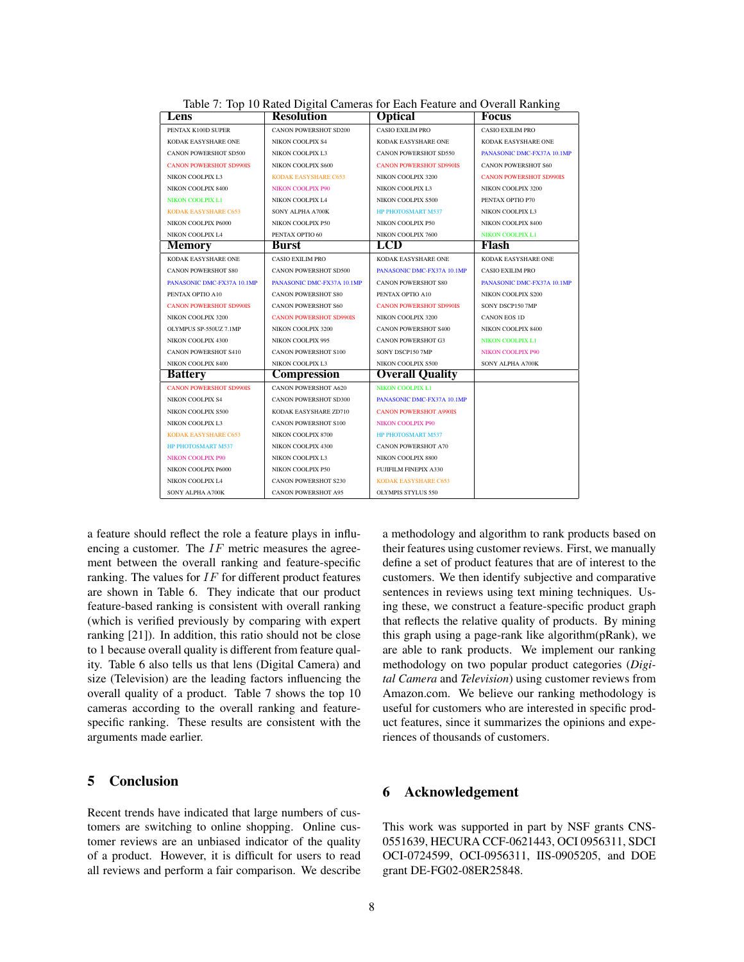| Lens                           | <b>Resolution</b>              | <b>Optical</b>                 | Focus                          |
|--------------------------------|--------------------------------|--------------------------------|--------------------------------|
| PENTAX K100D SUPER             | <b>CANON POWERSHOT SD200</b>   | <b>CASIO EXILIM PRO</b>        | <b>CASIO EXILIM PRO</b>        |
| KODAK EASYSHARE ONE            | <b>NIKON COOLPIX S4</b>        | KODAK EASYSHARE ONE            | KODAK EASYSHARE ONE            |
| <b>CANON POWERSHOT SD500</b>   | NIKON COOLPIX L3               | <b>CANON POWERSHOT SD550</b>   | PANASONIC DMC-FX37A 10.1MP     |
| <b>CANON POWERSHOT SD990IS</b> | NIKON COOLPIX S600             | <b>CANON POWERSHOT SD990IS</b> | <b>CANON POWERSHOT S60</b>     |
| NIKON COOLPIX L3               | <b>KODAK EASYSHARE C653</b>    | NIKON COOLPIX 3200             | <b>CANON POWERSHOT SD990IS</b> |
| NIKON COOLPIX 8400             | NIKON COOLPIX P90              | NIKON COOLPIX L3               | NIKON COOLPIX 3200             |
| NIKON COOLPIX L1               | NIKON COOLPIX L4               | NIKON COOLPIX S500             | PENTAX OPTIO P70               |
| <b>KODAK EASYSHARE C653</b>    | SONY ALPHA A700K               | <b>HP PHOTOSMART M537</b>      | <b>NIKON COOLPIX L3</b>        |
| NIKON COOLPIX P6000            | NIKON COOLPIX P50              | NIKON COOLPIX P50              | NIKON COOLPIX 8400             |
| NIKON COOLPIX L4               | PENTAX OPTIO 60                | NIKON COOLPIX 7600             | <b>NIKON COOLPIX L1</b>        |
| <b>Memory</b>                  | Burst                          | LCD                            | Flash                          |
| KODAK EASYSHARE ONE            | <b>CASIO EXILIM PRO</b>        | KODAK EASYSHARE ONE            | KODAK EASYSHARE ONE            |
| <b>CANON POWERSHOT S80</b>     | <b>CANON POWERSHOT SD500</b>   | PANASONIC DMC-FX37A 10.1MP     | <b>CASIO EXILIM PRO</b>        |
| PANASONIC DMC-FX37A 10.1MP     | PANASONIC DMC-FX37A 10.1MP     | <b>CANON POWERSHOT S80</b>     | PANASONIC DMC-FX37A 10.1MP     |
| PENTAX OPTIO A10               | <b>CANON POWERSHOT S80</b>     | PENTAX OPTIO A10               | <b>NIKON COOLPIX S200</b>      |
| <b>CANON POWERSHOT SD990IS</b> | <b>CANON POWERSHOT S60</b>     | <b>CANON POWERSHOT SD990IS</b> | SONY DSCP150 7MP               |
| NIKON COOLPIX 3200             | <b>CANON POWERSHOT SD990IS</b> | NIKON COOLPIX 3200             | CANON EOS 1D                   |
| OLYMPUS SP-550UZ 7.1MP         | NIKON COOLPIX 3200             | <b>CANON POWERSHOT S400</b>    | NIKON COOLPIX 8400             |
| NIKON COOLPIX 4300             | NIKON COOLPIX 995              | <b>CANON POWERSHOT G3</b>      | <b>NIKON COOLPIX L1</b>        |
| <b>CANON POWERSHOT S410</b>    | <b>CANON POWERSHOT S100</b>    | SONY DSCP150 7MP               | <b>NIKON COOLPIX P90</b>       |
| NIKON COOLPIX 8400             | <b>NIKON COOLPIX L3</b>        | NIKON COOLPIX S500             | SONY ALPHA A700K               |
| <b>Battery</b>                 | Compression                    | <b>Overall Quality</b>         |                                |
| <b>CANON POWERSHOT SD990IS</b> | <b>CANON POWERSHOT A620</b>    | <b>NIKON COOLPIX L1</b>        |                                |
| NIKON COOLPIX S4               | <b>CANON POWERSHOT SD300</b>   | PANASONIC DMC-FX37A 10.1MP     |                                |
| NIKON COOLPIX S500             | KODAK EASYSHARE ZD710          | <b>CANON POWERSHOT A990IS</b>  |                                |
| NIKON COOLPIX L3               | <b>CANON POWERSHOT S100</b>    | <b>NIKON COOLPIX P90</b>       |                                |
| <b>KODAK EASYSHARE C653</b>    | NIKON COOLPIX 8700             | <b>HP PHOTOSMART M537</b>      |                                |
| <b>HP PHOTOSMART M537</b>      | NIKON COOLPIX 4300             | <b>CANON POWERSHOT A70</b>     |                                |
| <b>NIKON COOLPIX P90</b>       | <b>NIKON COOLPIX L3</b>        | NIKON COOLPIX 8800             |                                |
| NIKON COOLPIX P6000            | NIKON COOLPIX P50              | <b>FUJIFILM FINEPIX A330</b>   |                                |
| NIKON COOLPIX L4               | <b>CANON POWERSHOT S230</b>    | KODAK EASYSHARE C653           |                                |
| SONY ALPHA A700K               | <b>CANON POWERSHOT A95</b>     | <b>OLYMPIS STYLUS 550</b>      |                                |

Table 7: Top 10 Rated Digital Cameras for Each Feature and Overall Ranking

a feature should reflect the role a feature plays in influencing a customer. The  $IF$  metric measures the agreement between the overall ranking and feature-specific ranking. The values for  $IF$  for different product features are shown in Table 6. They indicate that our product feature-based ranking is consistent with overall ranking (which is verified previously by comparing with expert ranking [21]). In addition, this ratio should not be close to 1 because overall quality is different from feature quality. Table 6 also tells us that lens (Digital Camera) and size (Television) are the leading factors influencing the overall quality of a product. Table 7 shows the top 10 cameras according to the overall ranking and featurespecific ranking. These results are consistent with the arguments made earlier.

# 5 Conclusion

Recent trends have indicated that large numbers of customers are switching to online shopping. Online customer reviews are an unbiased indicator of the quality of a product. However, it is difficult for users to read all reviews and perform a fair comparison. We describe a methodology and algorithm to rank products based on their features using customer reviews. First, we manually define a set of product features that are of interest to the customers. We then identify subjective and comparative sentences in reviews using text mining techniques. Using these, we construct a feature-specific product graph that reflects the relative quality of products. By mining this graph using a page-rank like algorithm(pRank), we are able to rank products. We implement our ranking methodology on two popular product categories (*Digital Camera* and *Television*) using customer reviews from Amazon.com. We believe our ranking methodology is useful for customers who are interested in specific product features, since it summarizes the opinions and experiences of thousands of customers.

### 6 Acknowledgement

This work was supported in part by NSF grants CNS-0551639, HECURA CCF-0621443, OCI 0956311, SDCI OCI-0724599, OCI-0956311, IIS-0905205, and DOE grant DE-FG02-08ER25848.